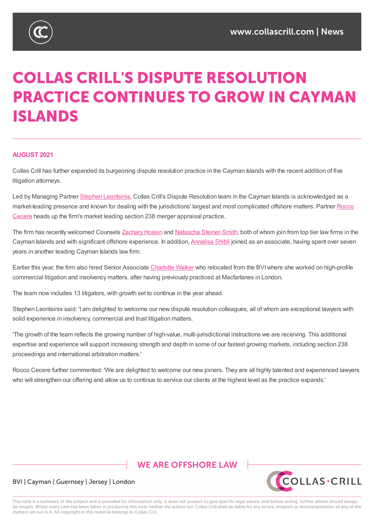

# **COLLAS CRILL'S DISPUTE RESOLUTION PRACTICE CONTINUES TO GROW IN CAYMAN ISLANDS**

# **AUGUST 2021**

Collas Crill has further expanded its burgeoning dispute resolution practice in the Cayman Islands with the recent addition of five litigation attorneys.

Led by Managing Partner Stephen Leontsinis, Collas Crill's Dispute Resolution team in the Cayman Islands is acknowledged as a market-leading presence and known for dealing with the jurisdictions' largest and most complicated offshore matters. Partner Rocco Cecere heads up the firm's market leading section 238 merger appraisal practice.

The firm has recently welcomed [Counsels](https://www.collascrill.com/who-we-are/l/stephen-leontsinis/) Zachary Hoskin and Natascha Steiner-Smith, both of whom join from top tier law firms in the Cayman Islands and with significant offshore [experience.](https://www.collascrill.com/who-we-are/c/rocco-cecere/) In addition, Annalisa Shibli joined as an associate, having spent over seven years in another leading Cayman Islands law firm.

Earlier this year, the firm also hired Senior [Associate](https://www.collascrill.com/who-we-are/h/zachary-hoskin/) Charlotte Walker who [relocated](https://www.collascrill.com/who-we-are/s/natascha-steiner-smith/) from the BVI where she worked on high-profile commercial litigation and insolvency matters, after having previously [practiced](https://www.collascrill.com/who-we-are/s/annalisa-shibli/) at Macfarlanes in London.

The team now includes 13 litigators, with growth set to [continue](https://www.collascrill.com/who-we-are/w/charlotte-walker/) in the year ahead.

Stephen Leontsinis said: 'I am delighted to welcome our new dispute resolution colleagues, all of whom are exceptional lawyers with solid experience in insolvency, commercial and trust litigation matters.

'The growth of the team reflects the growing number of high-value, multi-jurisdictional instructions we are receiving. This additional expertise and experience will support increasing strength and depth in some of our fastest growing markets, including section 238 proceedings and international arbitration matters.'

Rocco Cecere further commented: 'We are delighted to welcome our new joiners. They are all highly talented and experienced lawyers who will strengthen our offering and allow us to continue to service our clients at the highest level as the practice expands.'

# **WE ARE OFFSHORE LAW**



## BVI | Cayman | Guernsey | Jersey | London

This note is a summary of the subject and is provided for information only. It does not purport to give specific legal advice, and before acting, further advice should always be sought. Whilst every care has been taken in producing this note neither the author nor Collas Crill shall be liable for any errors, misprint or misinterpretation of any of the matters set out in it. All copyright in this material belongs to Collas Crill.